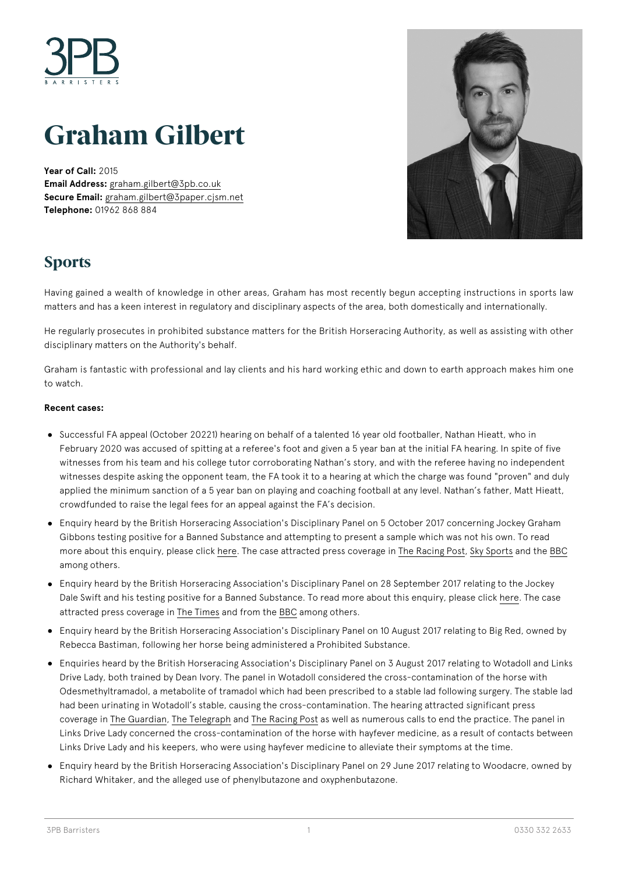

# **Graham Gilbert**

**Year of Call:** 2015 **Email Address:** [graham.gilbert@3pb.co.uk](mailto:graham.gilbert@3pb.co.uk) **Secure Email:** [graham.gilbert@3paper.cjsm.net](mailto:graham.gilbert@3paper.cjsm.net) **Telephone:** 01962 868 884



# **Sports**

Having gained a wealth of knowledge in other areas, Graham has most recently begun accepting instructions in sports law matters and has a keen interest in regulatory and disciplinary aspects of the area, both domestically and internationally.

He regularly prosecutes in prohibited substance matters for the British Horseracing Authority, as well as assisting with other disciplinary matters on the Authority's behalf.

Graham is fantastic with professional and lay clients and his hard working ethic and down to earth approach makes him one to watch.

#### **Recent cases:**

- Successful FA appeal (October 20221) hearing on behalf of a talented 16 year old footballer, Nathan Hieatt, who in February 2020 was accused of spitting at a referee's foot and given a 5 year ban at the initial FA hearing. In spite of five witnesses from his team and his college tutor corroborating Nathan's story, and with the referee having no independent witnesses despite asking the opponent team, the FA took it to a hearing at which the charge was found "proven" and duly applied the minimum sanction of a 5 year ban on playing and coaching football at any level. Nathan's father, Matt Hieatt, crowdfunded to raise the legal fees for an appeal against the FA's decision.
- Enquiry heard by the British Horseracing Association's Disciplinary Panel on 5 October 2017 concerning Jockey Graham Gibbons testing positive for a Banned Substance and attempting to present a sample which was not his own. To read more about this enquiry, please click [here](http://judicialpanel.britishhorseracing.com/results/result/?id=1682). The case attracted press coverage in [The Racing Post](https://www.racingpost.com/news/gibbons-suspended-from-riding-for-two-and-a-half-years/303386), [Sky Sports](https://www.skysports.com/racing/news/12426/11067948/jockey-graham-gibbons-receives-lengthy-ban) and the [BBC](https://www.bbc.co.uk/sport/horse-racing/41516421) among others.
- Enquiry heard by the British Horseracing Association's Disciplinary Panel on 28 September 2017 relating to the Jockey Dale Swift and his testing positive for a Banned Substance. To read more about this enquiry, please click [here](http://judicialpanel.britishhorseracing.com/results/result/?id=1680). The case attracted press coverage in [The Times](https://www.thetimes.co.uk/article/cocaine-use-brings-swift-21-month-ban-htv385bhp) and from the [BBC](https://www.bbc.co.uk/sport/horse-racing/41415937) among others.
- Enquiry heard by the British Horseracing Association's Disciplinary Panel on 10 August 2017 relating to Big Red, owned by Rebecca Bastiman, following her horse being administered a Prohibited Substance.
- Enquiries heard by the British Horseracing Association's Disciplinary Panel on 3 August 2017 relating to Wotadoll and Links Drive Lady, both trained by Dean Ivory. The panel in Wotadoll considered the cross-contamination of the horse with Odesmethyltramadol, a metabolite of tramadol which had been prescribed to a stable lad following surgery. The stable lad had been urinating in Wotadoll's stable, causing the cross-contamination. The hearing attracted significant press coverage in [The Guardian,](https://www.theguardian.com/sport/2017/aug/07/racing-news-tips-horse-racing-dean-ivory-stable-staff-urinating-contaminating) [The Telegraph](https://www.telegraph.co.uk/news/2017/08/08/widdle-racehorse-trainer-warning-runner-tests-positive/) and [The Racing Post](https://www.racingpost.com/news/ivory-horse-fails-dope-test-after-embarrassing-leak/296085) as well as numerous calls to end the practice. The panel in Links Drive Lady concerned the cross-contamination of the horse with hayfever medicine, as a result of contacts between Links Drive Lady and his keepers, who were using hayfever medicine to alleviate their symptoms at the time.
- Enquiry heard by the British Horseracing Association's Disciplinary Panel on 29 June 2017 relating to Woodacre, owned by Richard Whitaker, and the alleged use of phenylbutazone and oxyphenbutazone.